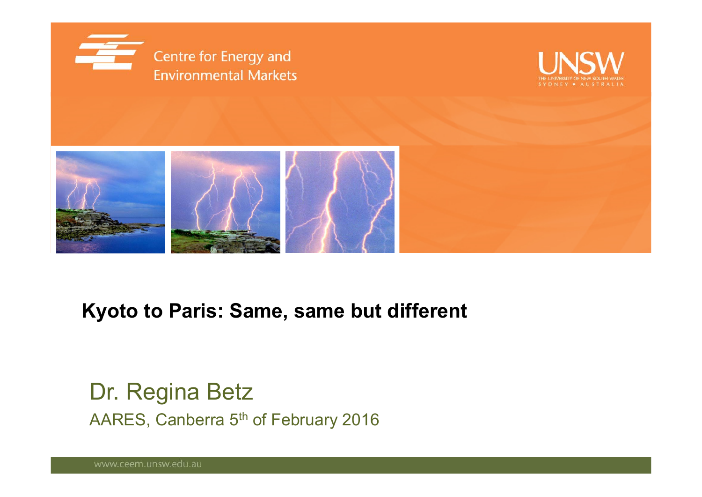





### **Kyoto to Paris: Same, same but different**

Dr. Regina Betz AARES, Canberra 5<sup>th</sup> of February 2016

www.ceem.unsw.edu.au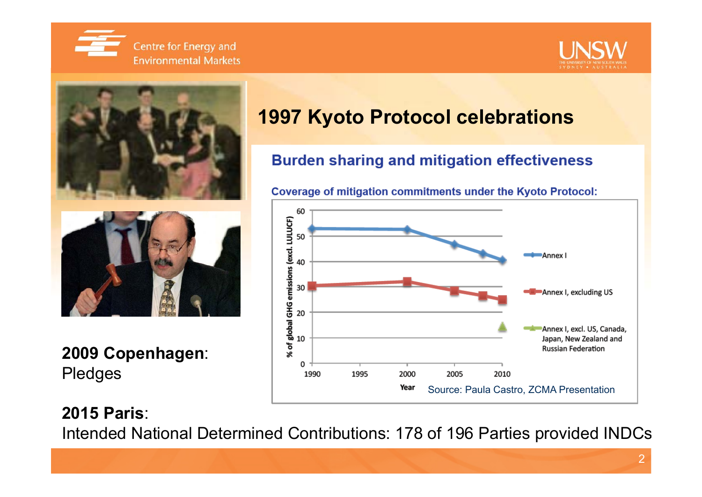





**2009 Copenhagen**: Pledges

### **1997 Kyoto Protocol celebrations**

#### **Burden sharing and mitigation effectiveness**

**Coverage of mitigation commitments under the Kyoto Protocol:** 



#### **2015 Paris**:

Intended National Determined Contributions: 178 of 196 Parties provided INDCs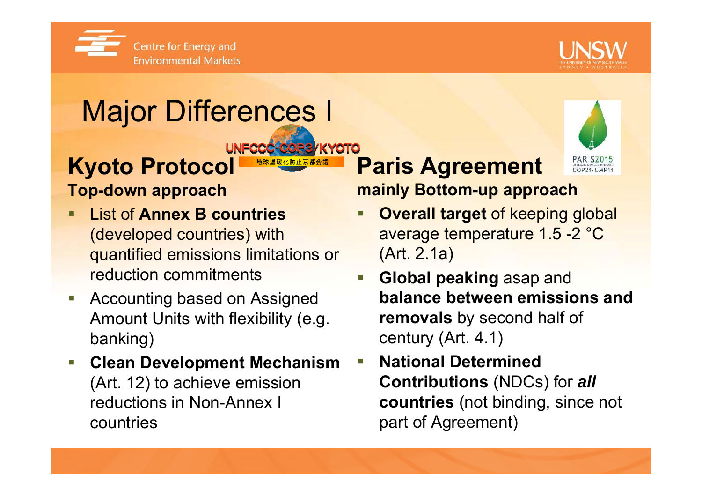



# Major Differences I

#### UNFCCC-COP3/KYOTO **Kyoto Protocol**

#### **Top-down approach**

- List of **Annex B countries**  (developed countries) with quantified emissions limitations or reduction commitments
- $\Box$  Accounting based on Assigned Amount Units with flexibility (e.g. banking)
- $\overline{\mathbb{R}^n}$  **Clean Development Mechanism** (Art. 12) to achieve emission reductions in Non-Annex I countries

# **Paris Agreement**



## **mainly Bottom-up approach**

- П **Overall target** of keeping global average temperature 1.5 -2 °C (Art. 2.1a)
- $\blacksquare$  **Global peaking** asap and **balance between emissions and removals** by second half of century (Art. 4.1)
- $\mathcal{L}_{\mathcal{A}}$ **National Determined Contributions** (NDCs) for *all* **countries** (not binding, since not part of Agreement)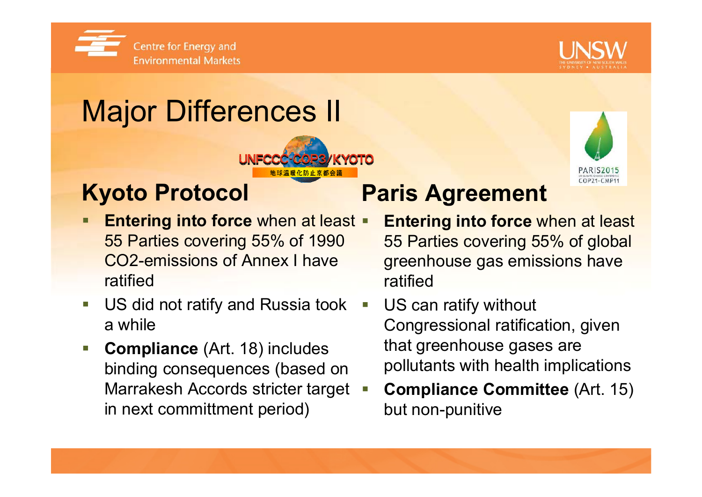



**PARIS2015**  $COP21. CMP11$ 

# Major Differences II

### **Kyoto Protocol**

- Ξ **Entering into force** when at least  $\blacksquare$ 55 Parties covering 55% of 1990 CO2-emissions of Annex I have ratified
- Ξ US did not ratify and Russia took a while
- $\mathcal{L}_{\mathcal{A}}$  **Compliance** (Art. 18) includes binding consequences (based on Marrakesh Accords stricter target in next committment period)

### **Paris Agreement**

- **Entering into force** when at least 55 Parties covering 55% of global greenhouse gas emissions have ratified
- US can ratify without Congressional ratification, given that greenhouse gases are pollutants with health implications
- Ξ **Compliance Committee** (Art. 15) but non-punitive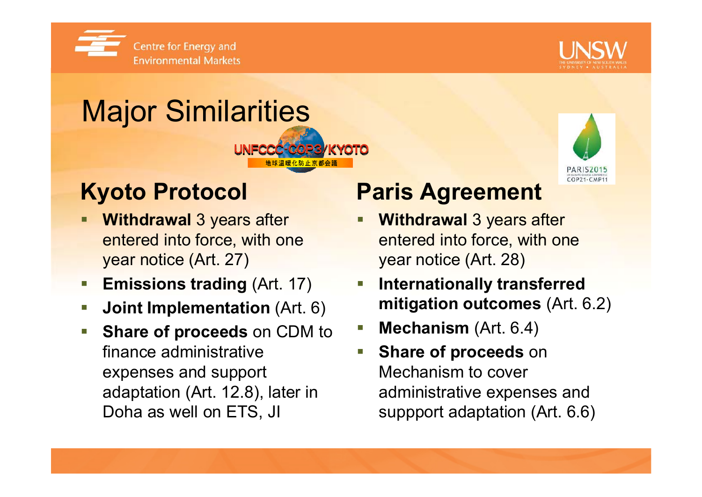



## Major Similarities CC-COPS



## **Kyoto Protocol**

- Г **Withdrawal** 3 years after entered into force, with one year notice (Art. 27)
- П **Emissions trading** (Art. 17)
- F **Joint Implementation** (Art. 6)
- F **Share of proceeds** on CDM to finance administrative expenses and support adaptation (Art. 12.8), later in Doha as well on ETS, JI

### **Paris Agreement**

- **Withdrawal** 3 years after entered into force, with one year notice (Art. 28)
- $\mathcal{L}_{\mathcal{A}}$  **Internationally transferred mitigation outcomes** (Art. 6.2)
- $\mathcal{L}_{\mathcal{A}}$ **Mechanism** (Art. 6.4)
- Ξ **Share of proceeds** on Mechanism to cover administrative expenses and suppport adaptation (Art. 6.6)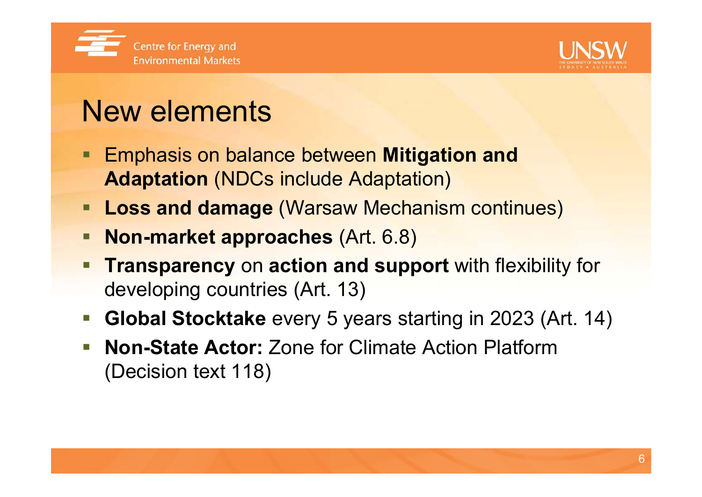



6

## New elements

- **Emphasis on balance between Mitigation and Adaptation** (NDCs include Adaptation)
- **Loss and damage** (Warsaw Mechanism continues)
- **Non-market approaches** (Art. 6.8)
- Ξ **Transparency** on **action and support** with flexibility for developing countries (Art. 13)
- e. **Global Stocktake** every 5 years starting in 2023 (Art. 14)
- $\overline{\phantom{a}}$  **Non-State Actor:** Zone for Climate Action Platform (Decision text 118)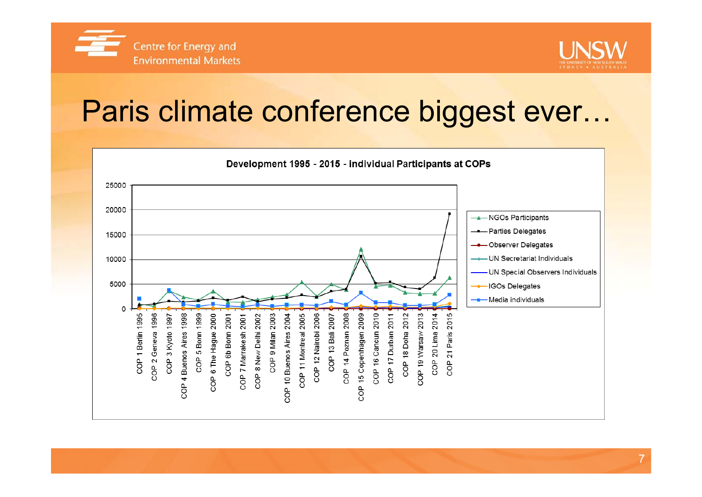



## Paris climate conference biggest ever...